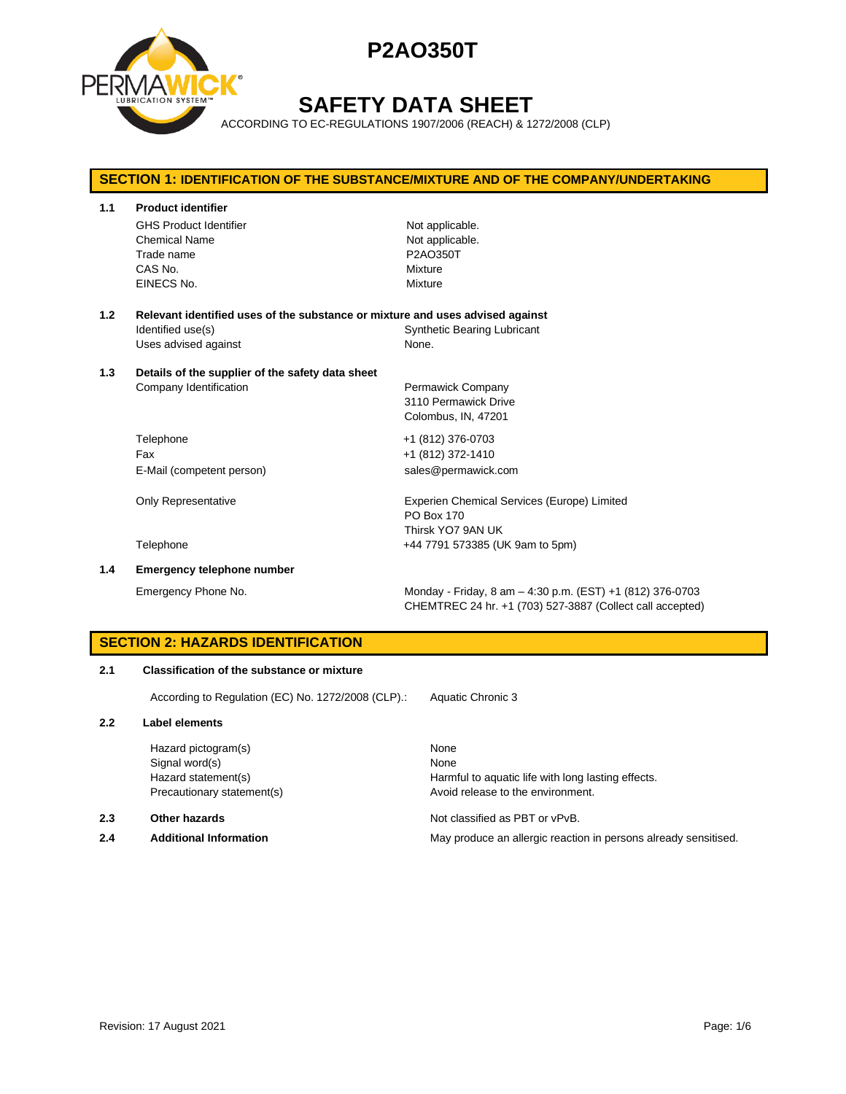

# **SAFETY DATA SHEET**

ACCORDING TO EC-REGULATIONS 1907/2006 (REACH) & 1272/2008 (CLP)

# **SECTION 1: IDENTIFICATION OF THE SUBSTANCE/MIXTURE AND OF THE COMPANY/UNDERTAKING 1.1 Product identifier** GHS Product Identifier Not applicable. Chemical Name Not applicable. Trade name **P2AO350T** CAS No. Mixture EINECS No. 2008 2009 2012 12:00:00 Mixture **1.2 Relevant identified uses of the substance or mixture and uses advised against** Identified use(s) The Synthetic Bearing Lubricant Uses advised against None. **1.3 Details of the supplier of the safety data sheet** Company Identification **Permawick Company** 3110 Permawick Drive Colombus, IN, 47201 Telephone +1 (812) 376-0703 Fax +1 (812) 372-1410 E-Mail (competent person) sales@permawick.com Only Representative **Experien Chemical Services (Europe)** Limited PO Box 170 Thirsk YO7 9AN UK Telephone +44 7791 573385 (UK 9am to 5pm) **1.4 Emergency telephone number** Emergency Phone No. Monday - Friday, 8 am – 4:30 p.m. (EST) +1 (812) 376-0703

**SECTION 2: HAZARDS IDENTIFICATION**

## **2.1 Classification of the substance or mixture**

According to Regulation (EC) No. 1272/2008 (CLP).: Aquatic Chronic 3

### **2.2 Label elements**

Hazard pictogram(s) None Signal word(s) None

### **2.3 Other hazards Detection According to the Contract Contract According Not classified as PBT or vPvB.**

Hazard statement(s) The Harmful to aquatic life with long lasting effects. Precautionary statement(s) example a provid release to the environment.

CHEMTREC 24 hr. +1 (703) 527-3887 (Collect call accepted)

**2.4 Additional Information** May produce an allergic reaction in persons already sensitised.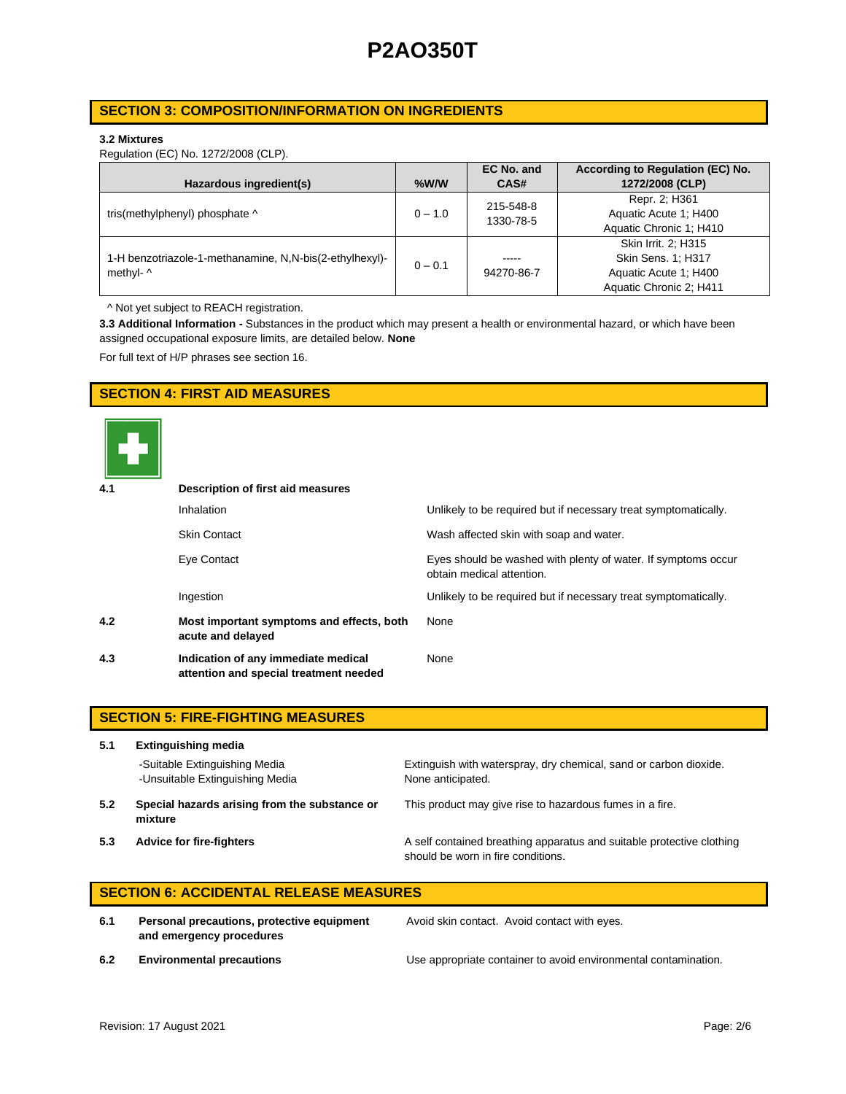## **SECTION 3: COMPOSITION/INFORMATION ON INGREDIENTS**

### **3.2 Mixtures**

Regulation (EC) No. 1272/2008 (CLP).

|                                                         |           | EC No. and | According to Regulation (EC) No. |
|---------------------------------------------------------|-----------|------------|----------------------------------|
| Hazardous ingredient(s)                                 | $%$ W/W   | CAS#       | 1272/2008 (CLP)                  |
|                                                         |           | 215-548-8  | Repr. 2; H361                    |
| tris(methylphenyl) phosphate ^                          | $0 - 1.0$ | 1330-78-5  | Aquatic Acute 1: H400            |
|                                                         |           |            | Aquatic Chronic 1; H410          |
|                                                         |           |            | Skin Irrit. 2: H315              |
| 1-H benzotriazole-1-methanamine, N,N-bis(2-ethylhexyl)- | $0 - 0.1$ | -----      | Skin Sens. 1; H317               |
| methyl- ^                                               |           | 94270-86-7 | Aquatic Acute 1: H400            |
|                                                         |           |            | Aquatic Chronic 2; H411          |

^ Not yet subject to REACH registration.

**3.3 Additional Information -** Substances in the product which may present a health or environmental hazard, or which have been assigned occupational exposure limits, are detailed below. **None**

For full text of H/P phrases see section 16.

## **SECTION 4: FIRST AID MEASURES**



| 4.1 | Description of first aid measures                                             |                                                                                            |  |  |  |
|-----|-------------------------------------------------------------------------------|--------------------------------------------------------------------------------------------|--|--|--|
|     | <b>Inhalation</b>                                                             | Unlikely to be required but if necessary treat symptomatically.                            |  |  |  |
|     | <b>Skin Contact</b>                                                           | Wash affected skin with soap and water.                                                    |  |  |  |
|     | Eye Contact                                                                   | Eyes should be washed with plenty of water. If symptoms occur<br>obtain medical attention. |  |  |  |
|     | Ingestion                                                                     | Unlikely to be required but if necessary treat symptomatically.                            |  |  |  |
| 4.2 | Most important symptoms and effects, both<br>acute and delayed                | None                                                                                       |  |  |  |
| 4.3 | Indication of any immediate medical<br>attention and special treatment needed | None                                                                                       |  |  |  |

|     | <b>SECTION 5: FIRE-FIGHTING MEASURES</b>                         |                                                                                                             |  |  |  |
|-----|------------------------------------------------------------------|-------------------------------------------------------------------------------------------------------------|--|--|--|
| 5.1 | <b>Extinguishing media</b>                                       |                                                                                                             |  |  |  |
|     | -Suitable Extinguishing Media<br>-Unsuitable Extinguishing Media | Extinguish with waterspray, dry chemical, sand or carbon dioxide.<br>None anticipated.                      |  |  |  |
| 5.2 | Special hazards arising from the substance or<br>mixture         | This product may give rise to hazardous fumes in a fire.                                                    |  |  |  |
| 5.3 | <b>Advice for fire-fighters</b>                                  | A self contained breathing apparatus and suitable protective clothing<br>should be worn in fire conditions. |  |  |  |

## **SECTION 6: ACCIDENTAL RELEASE MEASURES**

**6.1 Personal precautions, protective equipment and emergency procedures**

Avoid skin contact. Avoid contact with eyes.

**6.2 Environmental precautions** Use appropriate container to avoid environmental contamination.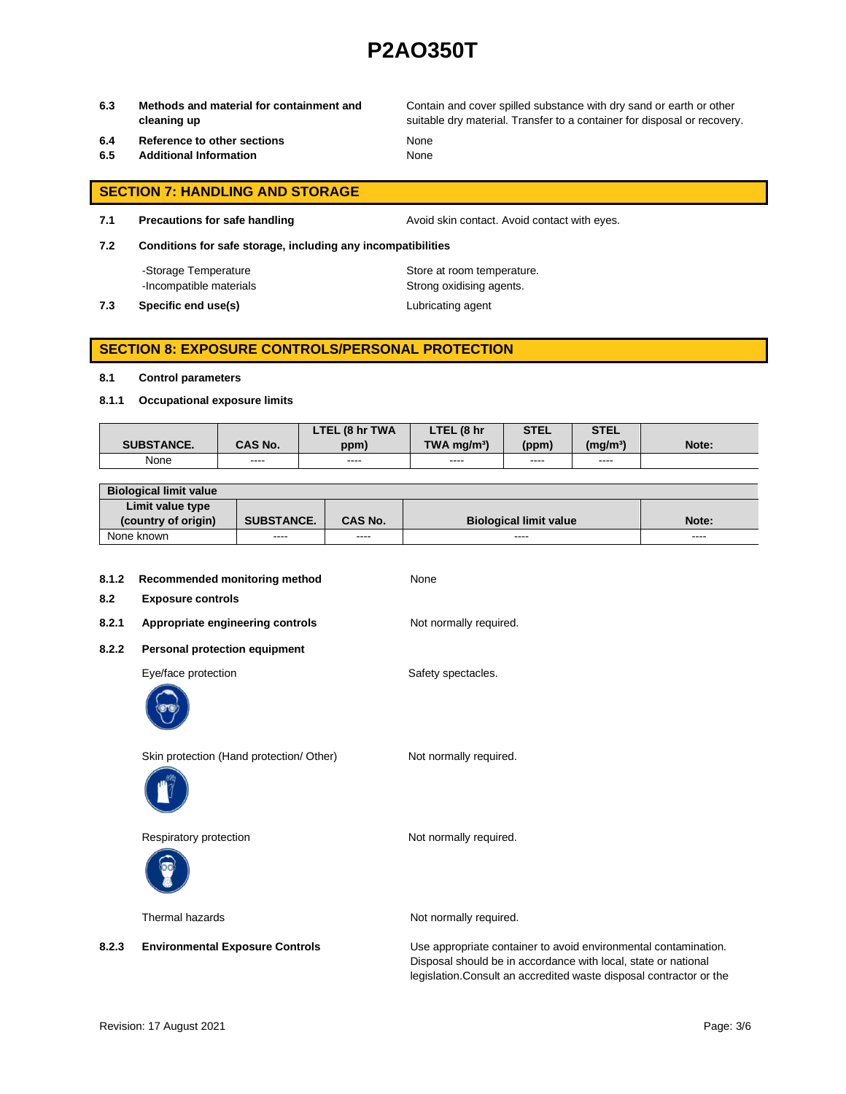**6.3 Methods and material for containment and cleaning up**

Contain and cover spilled substance with dry sand or earth or other suitable dry material. Transfer to a container for disposal or recovery.

- **6.4 Reference to other sections** None
- **6.5 Additional Information** None

- **SECTION 7: HANDLING AND STORAGE**
- 

**7.1 Precautions for safe handling Avoid skin contact. Avoid contact with eyes.** 

**7.2 Conditions for safe storage, including any incompatibilities**

-Storage Temperature **Store at room temperature.** 

**7.3 Specific end use(s) Lubricating agent** 

-Incompatible materials **Strong oxidising agents**.

## **SECTION 8: EXPOSURE CONTROLS/PERSONAL PROTECTION**

### **8.1 Control parameters**

**8.1.1 Occupational exposure limits**

|                   |                | LTEL (8 hr TWA | LTEL (8 hr                | <b>STEL</b> | <b>STEL</b>     |       |
|-------------------|----------------|----------------|---------------------------|-------------|-----------------|-------|
| <b>SUBSTANCE.</b> | <b>CAS No.</b> | ppm)           | $TWA$ ma/m <sup>3</sup> ) | (ppm)       | $(m\alpha/m^3)$ | Note: |
| None              | ----           | ----           | ----                      | ----        | ----            |       |

| <b>Biological limit value</b> |                   |                |                               |       |
|-------------------------------|-------------------|----------------|-------------------------------|-------|
| Limit value type              |                   |                |                               |       |
| (country of origin)           | <b>SUBSTANCE.</b> | <b>CAS No.</b> | <b>Biological limit value</b> | Note: |
| None known                    | ----              | ----           | ----                          | ----  |

| 8.1.2<br>8.2 | Recommended monitoring method<br><b>Exposure controls</b> | None                                                                                                                              |
|--------------|-----------------------------------------------------------|-----------------------------------------------------------------------------------------------------------------------------------|
| 8.2.1        | Appropriate engineering controls                          | Not normally required.                                                                                                            |
| 8.2.2        | Personal protection equipment                             |                                                                                                                                   |
|              | Eye/face protection                                       | Safety spectacles.                                                                                                                |
|              | Skin protection (Hand protection/ Other)                  | Not normally required.                                                                                                            |
|              | Respiratory protection                                    | Not normally required.                                                                                                            |
|              | Thermal hazards                                           | Not normally required.                                                                                                            |
| 8.2.3        | <b>Environmental Exposure Controls</b>                    | Use appropriate container to avoid environmental contamination.<br>Disposal should be in accordance with local, state or national |

legislation.Consult an accredited waste disposal contractor or the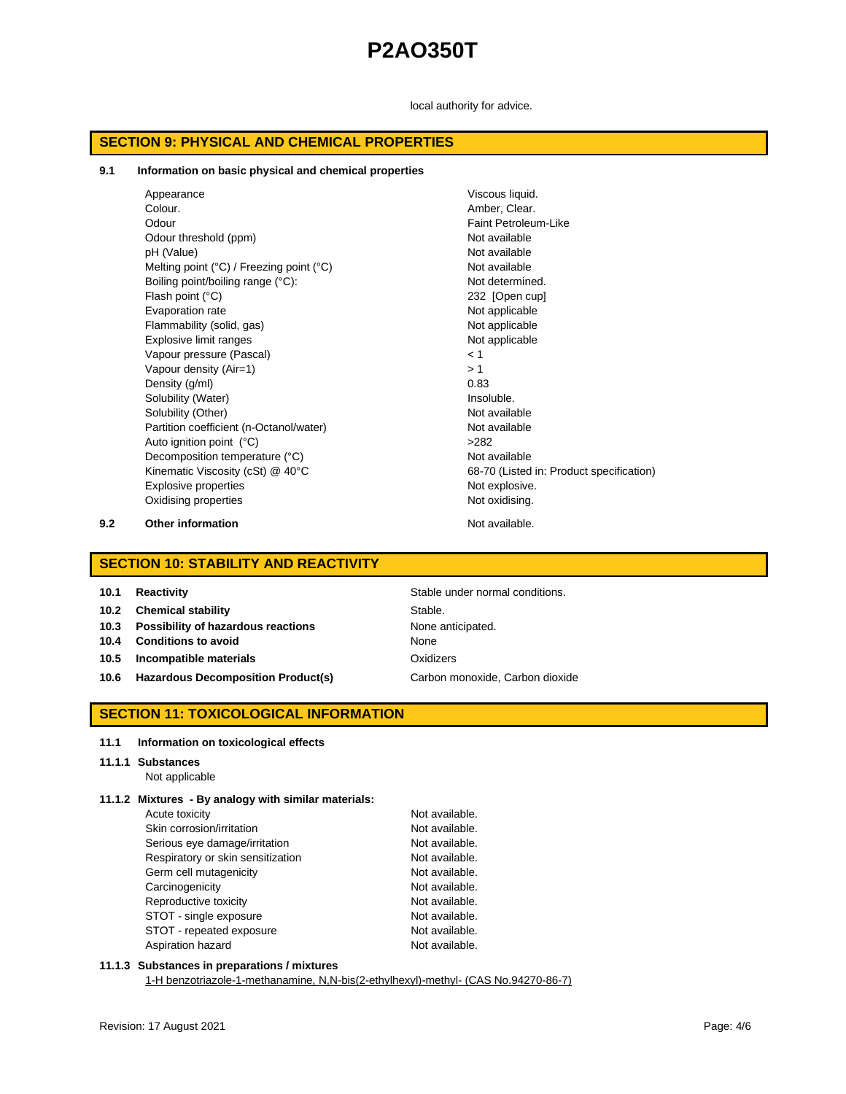local authority for advice.

## **SECTION 9: PHYSICAL AND CHEMICAL PROPERTIES**

#### **9.1 Information on basic physical and chemical properties**

| Appearance                                                 | Viscous liquid.                          |
|------------------------------------------------------------|------------------------------------------|
| Colour.                                                    | Amber, Clear.                            |
| Odour                                                      | Faint Petroleum-Like                     |
| Odour threshold (ppm)                                      | Not available                            |
| pH (Value)                                                 | Not available                            |
| Melting point $(^{\circ}C)$ / Freezing point $(^{\circ}C)$ | Not available                            |
| Boiling point/boiling range (°C):                          | Not determined.                          |
| Flash point $(^{\circ}C)$                                  | 232 [Open cup]                           |
| Evaporation rate                                           | Not applicable                           |
| Flammability (solid, gas)                                  | Not applicable                           |
| Explosive limit ranges                                     | Not applicable                           |
| Vapour pressure (Pascal)                                   | < 1                                      |
| Vapour density (Air=1)                                     | >1                                       |
| Density (g/ml)                                             | 0.83                                     |
| Solubility (Water)                                         | Insoluble.                               |
| Solubility (Other)                                         | Not available                            |
| Partition coefficient (n-Octanol/water)                    | Not available                            |
| Auto ignition point (°C)                                   | >282                                     |
| Decomposition temperature (°C)                             | Not available                            |
| Kinematic Viscosity (cSt) @ 40°C                           | 68-70 (Listed in: Product specification) |
| Explosive properties                                       | Not explosive.                           |
| Oxidising properties                                       | Not oxidising.                           |
|                                                            |                                          |

**9.2 Other information Not available.** 

## **SECTION 10: STABILITY AND REACTIVITY**

| <b>Reactivity</b><br>10.1 |
|---------------------------|
|---------------------------|

**10.2 Chemical stability** Stable.

- **10.3 Possibility of hazardous reactions** None anticipated.
- **10.4 Conditions to avoid** None
- **10.5 Incompatible materials** Oxidizers
- 10.6 **Hazardous Decomposition Product(s)** Carbon monoxide, Carbon dioxide

**10.1 Reactivity** Stable under normal conditions.

## **SECTION 11: TOXICOLOGICAL INFORMATION**

#### **11.1 Information on toxicological effects**

## **11.1.1 Substances**

Not applicable

## **11.1.2 Mixtures - By analogy with similar materials:**

| Acute toxicity                    | Not available. |
|-----------------------------------|----------------|
| Skin corrosion/irritation         | Not available. |
| Serious eye damage/irritation     | Not available. |
| Respiratory or skin sensitization | Not available. |
| Germ cell mutagenicity            | Not available. |
| Carcinogenicity                   | Not available. |
| Reproductive toxicity             | Not available. |
| STOT - single exposure            | Not available. |
| STOT - repeated exposure          | Not available. |
| Aspiration hazard                 | Not available. |

## **11.1.3 Substances in preparations / mixtures**

1-H benzotriazole-1-methanamine, N,N-bis(2-ethylhexyl)-methyl- (CAS No.94270-86-7)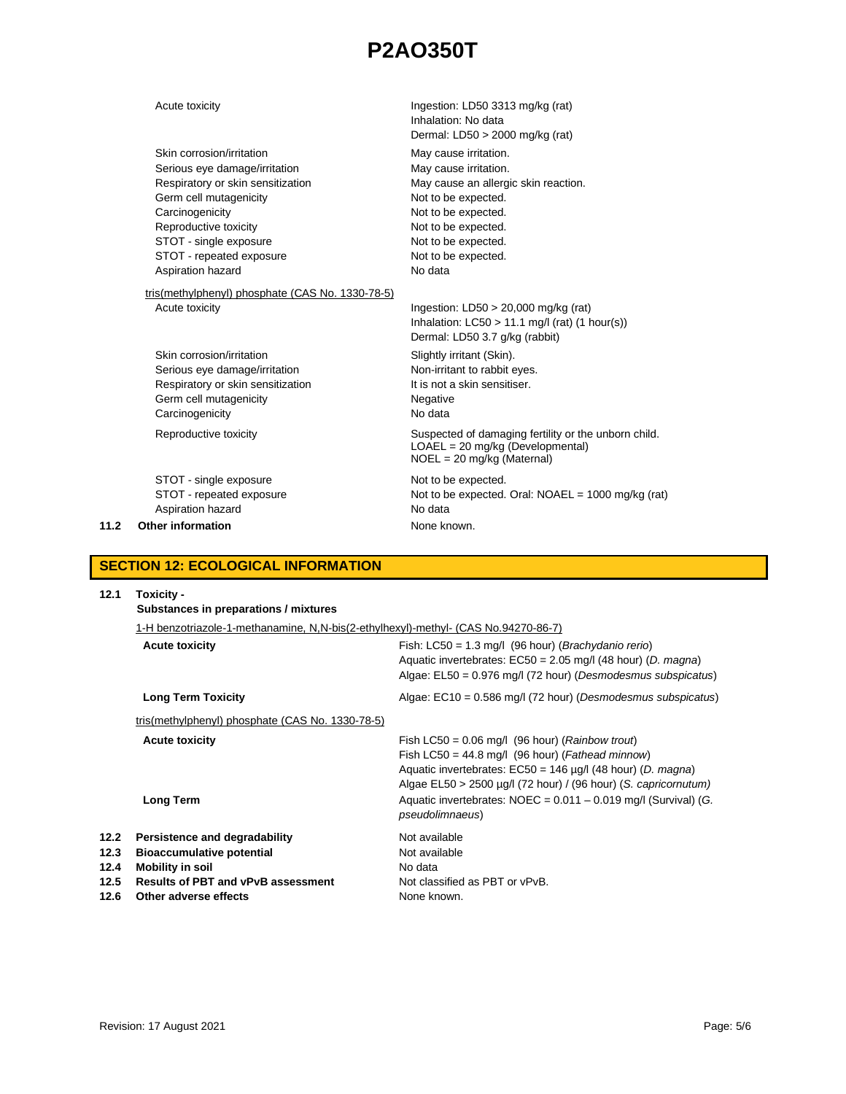|      | Acute toxicity                                   | Ingestion: LD50 3313 mg/kg (rat)                             |
|------|--------------------------------------------------|--------------------------------------------------------------|
|      |                                                  | Inhalation: No data                                          |
|      |                                                  | Dermal: LD50 > 2000 mg/kg (rat)                              |
|      | Skin corrosion/irritation                        | May cause irritation.                                        |
|      | Serious eye damage/irritation                    | May cause irritation.                                        |
|      | Respiratory or skin sensitization                | May cause an allergic skin reaction.                         |
|      | Germ cell mutagenicity                           | Not to be expected.                                          |
|      | Carcinogenicity                                  | Not to be expected.                                          |
|      | Reproductive toxicity                            | Not to be expected.                                          |
|      | STOT - single exposure                           | Not to be expected.                                          |
|      | STOT - repeated exposure                         | Not to be expected.                                          |
|      | Aspiration hazard                                | No data                                                      |
|      | tris(methylphenyl) phosphate (CAS No. 1330-78-5) |                                                              |
|      | Acute toxicity                                   | Ingestion: $LD50 > 20,000$ mg/kg (rat)                       |
|      |                                                  | Inhalation: $LC50 > 11.1$ mg/l (rat) (1 hour(s))             |
|      |                                                  | Dermal: LD50 3.7 g/kg (rabbit)                               |
|      | Skin corrosion/irritation                        |                                                              |
|      |                                                  | Slightly irritant (Skin).                                    |
|      | Serious eye damage/irritation                    | Non-irritant to rabbit eyes.<br>It is not a skin sensitiser. |
|      | Respiratory or skin sensitization                |                                                              |
|      | Germ cell mutagenicity                           | Negative                                                     |
|      | Carcinogenicity                                  | No data                                                      |
|      | Reproductive toxicity                            | Suspected of damaging fertility or the unborn child.         |
|      |                                                  | $LOAEL = 20$ mg/kg (Developmental)                           |
|      |                                                  | $NOEL = 20$ mg/kg (Maternal)                                 |
|      | STOT - single exposure                           | Not to be expected.                                          |
|      | STOT - repeated exposure                         | Not to be expected. Oral: $NOAEL = 1000$ mg/kg (rat)         |
|      | Aspiration hazard                                | No data                                                      |
| 11.2 | Other information                                | None known.                                                  |

## **SECTION 12: ECOLOGICAL INFORMATION**

| 12.1                                 | Toxicity -<br>Substances in preparations / mixtures                                                                                                                |                                                                                                                                                                                                                                                            |  |  |  |
|--------------------------------------|--------------------------------------------------------------------------------------------------------------------------------------------------------------------|------------------------------------------------------------------------------------------------------------------------------------------------------------------------------------------------------------------------------------------------------------|--|--|--|
|                                      | 1-H benzotriazole-1-methanamine, N,N-bis(2-ethylhexyl)-methyl- (CAS No.94270-86-7)                                                                                 |                                                                                                                                                                                                                                                            |  |  |  |
|                                      | <b>Acute toxicity</b>                                                                                                                                              | Fish: $LC50 = 1.3$ mg/l (96 hour) ( <i>Brachydanio rerio</i> )<br>Aquatic invertebrates: $EC50 = 2.05$ mg/l (48 hour) (D. magna)<br>Algae: EL50 = 0.976 mg/l (72 hour) (Desmodesmus subspicatus)                                                           |  |  |  |
|                                      | <b>Long Term Toxicity</b>                                                                                                                                          | Algae: $EC10 = 0.586$ mg/l (72 hour) (Desmodesmus subspicatus)                                                                                                                                                                                             |  |  |  |
|                                      | tris(methylphenyl) phosphate (CAS No. 1330-78-5)                                                                                                                   |                                                                                                                                                                                                                                                            |  |  |  |
|                                      | <b>Acute toxicity</b>                                                                                                                                              | Fish LC50 = $0.06$ mg/l (96 hour) ( <i>Rainbow trout</i> )<br>Fish LC50 = 44.8 mg/l (96 hour) (Fathead minnow)<br>Aquatic invertebrates: $EC50 = 146 \mu g/l$ (48 hour) (D. magna)<br>Algae $EL50 > 2500 \mu g/l$ (72 hour) / (96 hour) (S. capricornutum) |  |  |  |
|                                      | Long Term                                                                                                                                                          | Aquatic invertebrates: $NOEC = 0.011 - 0.019$ mg/l (Survival) (G.<br><i>pseudolimnaeus</i> )                                                                                                                                                               |  |  |  |
| 12.2<br>12.3<br>12.4<br>12.5<br>12.6 | Persistence and degradability<br><b>Bioaccumulative potential</b><br><b>Mobility in soil</b><br><b>Results of PBT and vPvB assessment</b><br>Other adverse effects | Not available<br>Not available<br>No data<br>Not classified as PBT or vPvB.<br>None known.                                                                                                                                                                 |  |  |  |